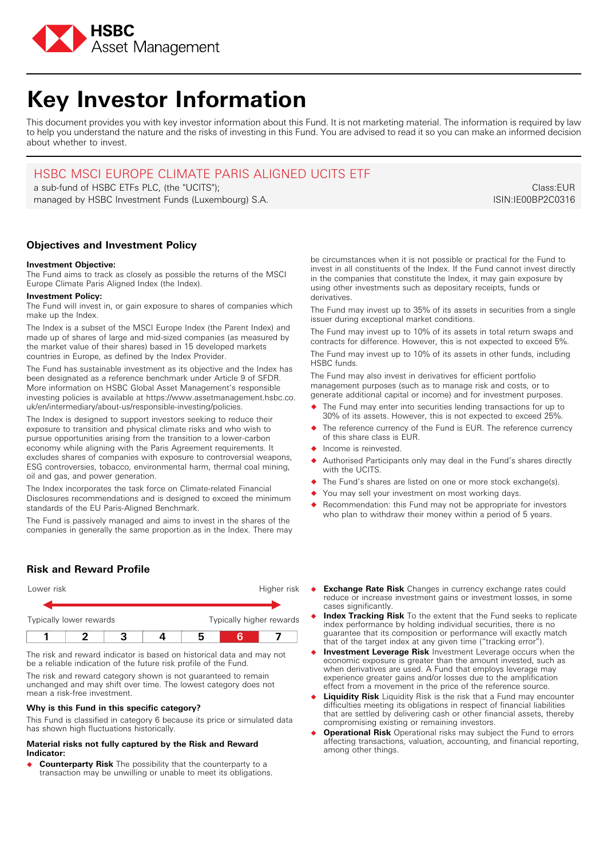

# **Key Investor Information**

This document provides you with key investor information about this Fund. It is not marketing material. The information is required by law to help you understand the nature and the risks of investing in this Fund. You are advised to read it so you can make an informed decision about whether to invest.

## HSBC MSCI EUROPE CLIMATE PARIS ALIGNED UCITS ETF

a sub-fund of HSBC ETFs PLC, (the "UCITS"); managed by HSBC Investment Funds (Luxembourg) S.A.

Class:EUR ISIN:IE00BP2C0316

## **Objectives and Investment Policy**

#### **Investment Objective:**

The Fund aims to track as closely as possible the returns of the MSCI Europe Climate Paris Aligned Index (the Index).

#### **Investment Policy:**

The Fund will invest in, or gain exposure to shares of companies which make up the Index.

The Index is a subset of the MSCI Europe Index (the Parent Index) and made up of shares of large and mid-sized companies (as measured by the market value of their shares) based in 15 developed markets countries in Europe, as defined by the Index Provider.

The Fund has sustainable investment as its objective and the Index has been designated as a reference benchmark under Article 9 of SFDR. More information on HSBC Global Asset Management's responsible investing policies is available at https://www.assetmanagement.hsbc.co. uk/en/intermediary/about-us/responsible-investing/policies.

The Index is designed to support investors seeking to reduce their exposure to transition and physical climate risks and who wish to pursue opportunities arising from the transition to a lower-carbon economy while aligning with the Paris Agreement requirements. It excludes shares of companies with exposure to controversial weapons, ESG controversies, tobacco, environmental harm, thermal coal mining, oil and gas, and power generation.

The Index incorporates the task force on Climate-related Financial Disclosures recommendations and is designed to exceed the minimum standards of the EU Paris-Aligned Benchmark.

The Fund is passively managed and aims to invest in the shares of the companies in generally the same proportion as in the Index. There may

## **Risk and Reward Profile**

| Typically lower rewards |  |  | Typically higher rewards |             |  |  |
|-------------------------|--|--|--------------------------|-------------|--|--|
|                         |  |  |                          |             |  |  |
| Lower risk              |  |  |                          | Higher risk |  |  |

The risk and reward indicator is based on historical data and may not be a reliable indication of the future risk profile of the Fund.

The risk and reward category shown is not guaranteed to remain unchanged and may shift over time. The lowest category does not mean a risk-free investment.

## **Why is this Fund in this specific category?**

This Fund is classified in category 6 because its price or simulated data has shown high fluctuations historically.

#### **Material risks not fully captured by the Risk and Reward Indicator:**

� **Counterparty Risk** The possibility that the counterparty to a transaction may be unwilling or unable to meet its obligations. be circumstances when it is not possible or practical for the Fund to invest in all constituents of the Index. If the Fund cannot invest directly in the companies that constitute the Index, it may gain exposure by using other investments such as depositary receipts, funds or derivatives.

The Fund may invest up to 35% of its assets in securities from a single issuer during exceptional market conditions.

The Fund may invest up to 10% of its assets in total return swaps and contracts for difference. However, this is not expected to exceed 5%. The Fund may invest up to 10% of its assets in other funds, including HSBC funds.

The Fund may also invest in derivatives for efficient portfolio management purposes (such as to manage risk and costs, or to generate additional capital or income) and for investment purposes.

- � The Fund may enter into securities lending transactions for up to 30% of its assets. However, this is not expected to exceed 25%.
- The reference currency of the Fund is EUR. The reference currency of this share class is EUR.
- � Income is reinvested.
- Authorised Participants only may deal in the Fund's shares directly with the UCITS.
- � The Fund's shares are listed on one or more stock exchange(s).
- You may sell your investment on most working days.
- Recommendation: this Fund may not be appropriate for investors who plan to withdraw their money within a period of 5 years.
- � **Exchange Rate Risk** Changes in currency exchange rates could reduce or increase investment gains or investment losses, in some cases significantly.
- � **Index Tracking Risk** To the extent that the Fund seeks to replicate index performance by holding individual securities, there is no guarantee that its composition or performance will exactly match that of the target index at any given time ("tracking error").
- � **Investment Leverage Risk** Investment Leverage occurs when the economic exposure is greater than the amount invested, such as when derivatives are used. A Fund that employs leverage may experience greater gains and/or losses due to the amplification effect from a movement in the price of the reference source.
- **Liquidity Risk** Liquidity Risk is the risk that a Fund may encounter difficulties meeting its obligations in respect of financial liabilities that are settled by delivering cash or other financial assets, thereby compromising existing or remaining investors.
- � **Operational Risk** Operational risks may subject the Fund to errors affecting transactions, valuation, accounting, and financial reporting, among other things.